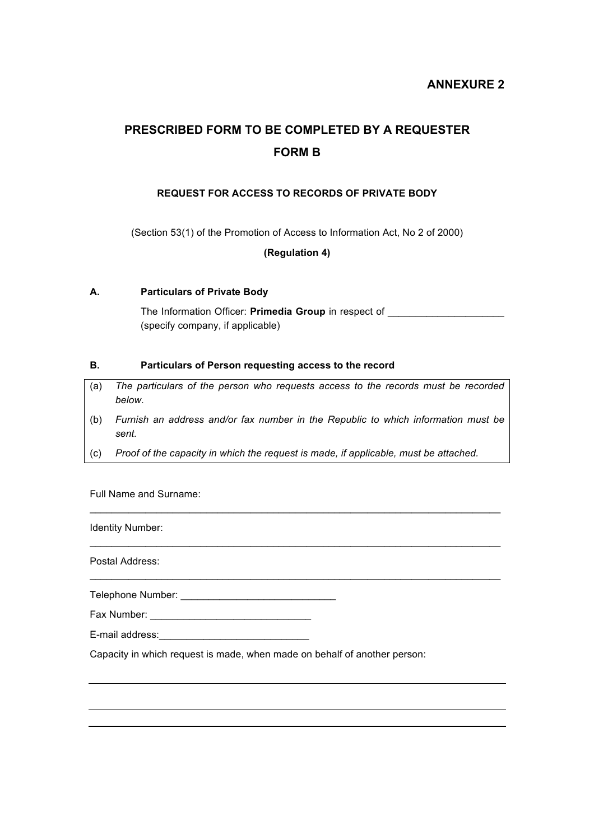## **ANNEXURE 2**

# **PRESCRIBED FORM TO BE COMPLETED BY A REQUESTER FORM B**

## **REQUEST FOR ACCESS TO RECORDS OF PRIVATE BODY**

(Section 53(1) of the Promotion of Access to Information Act, No 2 of 2000)

**(Regulation 4)**

### **A. Particulars of Private Body**

The Information Officer: **Primedia Group** in respect of (specify company, if applicable)

#### **B. Particulars of Person requesting access to the record**

- (a) *The particulars of the person who requests access to the records must be recorded below.*
- (b) *Furnish an address and/or fax number in the Republic to which information must be sent.*

 $\mathcal{L}_\mathcal{L} = \{ \mathcal{L}_\mathcal{L} = \{ \mathcal{L}_\mathcal{L} = \{ \mathcal{L}_\mathcal{L} = \{ \mathcal{L}_\mathcal{L} = \{ \mathcal{L}_\mathcal{L} = \{ \mathcal{L}_\mathcal{L} = \{ \mathcal{L}_\mathcal{L} = \{ \mathcal{L}_\mathcal{L} = \{ \mathcal{L}_\mathcal{L} = \{ \mathcal{L}_\mathcal{L} = \{ \mathcal{L}_\mathcal{L} = \{ \mathcal{L}_\mathcal{L} = \{ \mathcal{L}_\mathcal{L} = \{ \mathcal{L}_\mathcal{$ 

 $\mathcal{L}_\mathcal{L} = \{ \mathcal{L}_\mathcal{L} = \{ \mathcal{L}_\mathcal{L} = \{ \mathcal{L}_\mathcal{L} = \{ \mathcal{L}_\mathcal{L} = \{ \mathcal{L}_\mathcal{L} = \{ \mathcal{L}_\mathcal{L} = \{ \mathcal{L}_\mathcal{L} = \{ \mathcal{L}_\mathcal{L} = \{ \mathcal{L}_\mathcal{L} = \{ \mathcal{L}_\mathcal{L} = \{ \mathcal{L}_\mathcal{L} = \{ \mathcal{L}_\mathcal{L} = \{ \mathcal{L}_\mathcal{L} = \{ \mathcal{L}_\mathcal{$ 

 $\mathcal{L}_\text{max}$  , and the set of the set of the set of the set of the set of the set of the set of the set of the set of

(c) *Proof of the capacity in which the request is made, if applicable, must be attached.*

Full Name and Surname:

Identity Number:

Postal Address:

Telephone Number: \_\_\_\_\_\_\_\_\_\_\_\_\_\_\_\_\_\_\_\_\_\_\_\_\_\_\_\_

Fax Number: \_\_\_\_\_\_\_\_\_\_\_\_\_\_\_\_\_\_\_\_\_\_\_\_\_\_\_\_\_

E-mail address:

Capacity in which request is made, when made on behalf of another person: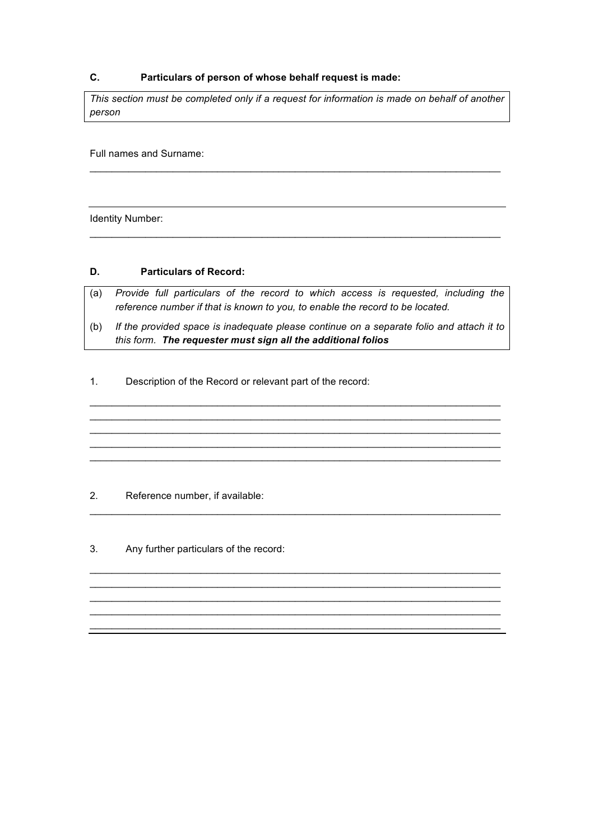## **C. Particulars of person of whose behalf request is made:**

*This section must be completed only if a request for information is made on behalf of another person*

 $\mathcal{L}_\mathcal{L} = \{ \mathcal{L}_\mathcal{L} = \{ \mathcal{L}_\mathcal{L} = \{ \mathcal{L}_\mathcal{L} = \{ \mathcal{L}_\mathcal{L} = \{ \mathcal{L}_\mathcal{L} = \{ \mathcal{L}_\mathcal{L} = \{ \mathcal{L}_\mathcal{L} = \{ \mathcal{L}_\mathcal{L} = \{ \mathcal{L}_\mathcal{L} = \{ \mathcal{L}_\mathcal{L} = \{ \mathcal{L}_\mathcal{L} = \{ \mathcal{L}_\mathcal{L} = \{ \mathcal{L}_\mathcal{L} = \{ \mathcal{L}_\mathcal{$ 

 $\mathcal{L}_\text{max}$  , and the set of the set of the set of the set of the set of the set of the set of the set of the set of

Full names and Surname:

Identity Number:

#### **D. Particulars of Record:**

- (a) *Provide full particulars of the record to which access is requested, including the reference number if that is known to you, to enable the record to be located.*
- (b) *If the provided space is inadequate please continue on a separate folio and attach it to this form. The requester must sign all the additional folios*

 $\mathcal{L}_\text{max}$  , and the set of the set of the set of the set of the set of the set of the set of the set of the set of  $\mathcal{L}_\mathcal{L} = \{ \mathcal{L}_\mathcal{L} = \{ \mathcal{L}_\mathcal{L} = \{ \mathcal{L}_\mathcal{L} = \{ \mathcal{L}_\mathcal{L} = \{ \mathcal{L}_\mathcal{L} = \{ \mathcal{L}_\mathcal{L} = \{ \mathcal{L}_\mathcal{L} = \{ \mathcal{L}_\mathcal{L} = \{ \mathcal{L}_\mathcal{L} = \{ \mathcal{L}_\mathcal{L} = \{ \mathcal{L}_\mathcal{L} = \{ \mathcal{L}_\mathcal{L} = \{ \mathcal{L}_\mathcal{L} = \{ \mathcal{L}_\mathcal{$  $\mathcal{L}_\text{max}$  , and the set of the set of the set of the set of the set of the set of the set of the set of the set of  $\mathcal{L}_\text{max}$  , and the set of the set of the set of the set of the set of the set of the set of the set of the set of  $\mathcal{L}_\mathcal{L} = \{ \mathcal{L}_\mathcal{L} = \{ \mathcal{L}_\mathcal{L} = \{ \mathcal{L}_\mathcal{L} = \{ \mathcal{L}_\mathcal{L} = \{ \mathcal{L}_\mathcal{L} = \{ \mathcal{L}_\mathcal{L} = \{ \mathcal{L}_\mathcal{L} = \{ \mathcal{L}_\mathcal{L} = \{ \mathcal{L}_\mathcal{L} = \{ \mathcal{L}_\mathcal{L} = \{ \mathcal{L}_\mathcal{L} = \{ \mathcal{L}_\mathcal{L} = \{ \mathcal{L}_\mathcal{L} = \{ \mathcal{L}_\mathcal{$ 

 $\mathcal{L}_\text{max}$  , and the set of the set of the set of the set of the set of the set of the set of the set of the set of

 $\mathcal{L}_\mathcal{L} = \{ \mathcal{L}_\mathcal{L} = \{ \mathcal{L}_\mathcal{L} = \{ \mathcal{L}_\mathcal{L} = \{ \mathcal{L}_\mathcal{L} = \{ \mathcal{L}_\mathcal{L} = \{ \mathcal{L}_\mathcal{L} = \{ \mathcal{L}_\mathcal{L} = \{ \mathcal{L}_\mathcal{L} = \{ \mathcal{L}_\mathcal{L} = \{ \mathcal{L}_\mathcal{L} = \{ \mathcal{L}_\mathcal{L} = \{ \mathcal{L}_\mathcal{L} = \{ \mathcal{L}_\mathcal{L} = \{ \mathcal{L}_\mathcal{$  $\mathcal{L}_\mathcal{L} = \{ \mathcal{L}_\mathcal{L} = \{ \mathcal{L}_\mathcal{L} = \{ \mathcal{L}_\mathcal{L} = \{ \mathcal{L}_\mathcal{L} = \{ \mathcal{L}_\mathcal{L} = \{ \mathcal{L}_\mathcal{L} = \{ \mathcal{L}_\mathcal{L} = \{ \mathcal{L}_\mathcal{L} = \{ \mathcal{L}_\mathcal{L} = \{ \mathcal{L}_\mathcal{L} = \{ \mathcal{L}_\mathcal{L} = \{ \mathcal{L}_\mathcal{L} = \{ \mathcal{L}_\mathcal{L} = \{ \mathcal{L}_\mathcal{$  $\mathcal{L}_\text{max}$  , and the set of the set of the set of the set of the set of the set of the set of the set of the set of  $\mathcal{L}_\text{max}$  , and the set of the set of the set of the set of the set of the set of the set of the set of the set of  $\mathcal{L}_\mathcal{L} = \{ \mathcal{L}_\mathcal{L} = \{ \mathcal{L}_\mathcal{L} = \{ \mathcal{L}_\mathcal{L} = \{ \mathcal{L}_\mathcal{L} = \{ \mathcal{L}_\mathcal{L} = \{ \mathcal{L}_\mathcal{L} = \{ \mathcal{L}_\mathcal{L} = \{ \mathcal{L}_\mathcal{L} = \{ \mathcal{L}_\mathcal{L} = \{ \mathcal{L}_\mathcal{L} = \{ \mathcal{L}_\mathcal{L} = \{ \mathcal{L}_\mathcal{L} = \{ \mathcal{L}_\mathcal{L} = \{ \mathcal{L}_\mathcal{$ 

1. Description of the Record or relevant part of the record:

#### 2. Reference number, if available:

3. Any further particulars of the record: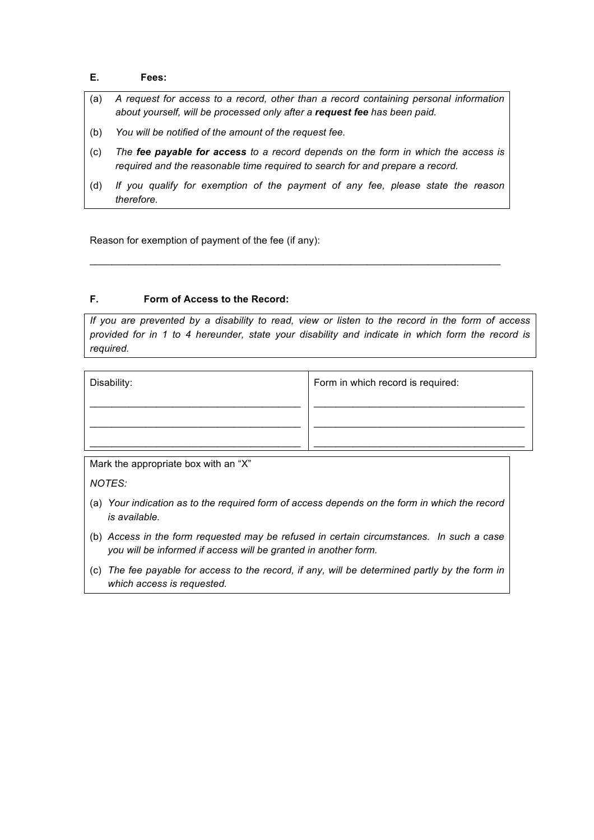## **E. Fees:**

- (a) *A request for access to a record, other than a record containing personal information about yourself, will be processed only after a request fee has been paid.*
- (b) *You will be notified of the amount of the request fee.*
- (c) *The fee payable for access to a record depends on the form in which the access is required and the reasonable time required to search for and prepare a record.*
- (d) *If you qualify for exemption of the payment of any fee, please state the reason therefore.*

 $\mathcal{L}_\mathcal{L} = \{ \mathcal{L}_\mathcal{L} = \{ \mathcal{L}_\mathcal{L} = \{ \mathcal{L}_\mathcal{L} = \{ \mathcal{L}_\mathcal{L} = \{ \mathcal{L}_\mathcal{L} = \{ \mathcal{L}_\mathcal{L} = \{ \mathcal{L}_\mathcal{L} = \{ \mathcal{L}_\mathcal{L} = \{ \mathcal{L}_\mathcal{L} = \{ \mathcal{L}_\mathcal{L} = \{ \mathcal{L}_\mathcal{L} = \{ \mathcal{L}_\mathcal{L} = \{ \mathcal{L}_\mathcal{L} = \{ \mathcal{L}_\mathcal{$ 

Reason for exemption of payment of the fee (if any):

#### **F. Form of Access to the Record:**

*If you are prevented by a disability to read, view or listen to the record in the form of access provided for in 1 to 4 hereunder, state your disability and indicate in which form the record is required.*

| Disability: | Form in which record is required: |
|-------------|-----------------------------------|
|             |                                   |
|             |                                   |

Mark the appropriate box with an "X"

*NOTES:*

- (a) *Your indication as to the required form of access depends on the form in which the record is available.*
- (b) *Access in the form requested may be refused in certain circumstances. In such a case you will be informed if access will be granted in another form.*
- (c) *The fee payable for access to the record, if any, will be determined partly by the form in which access is requested.*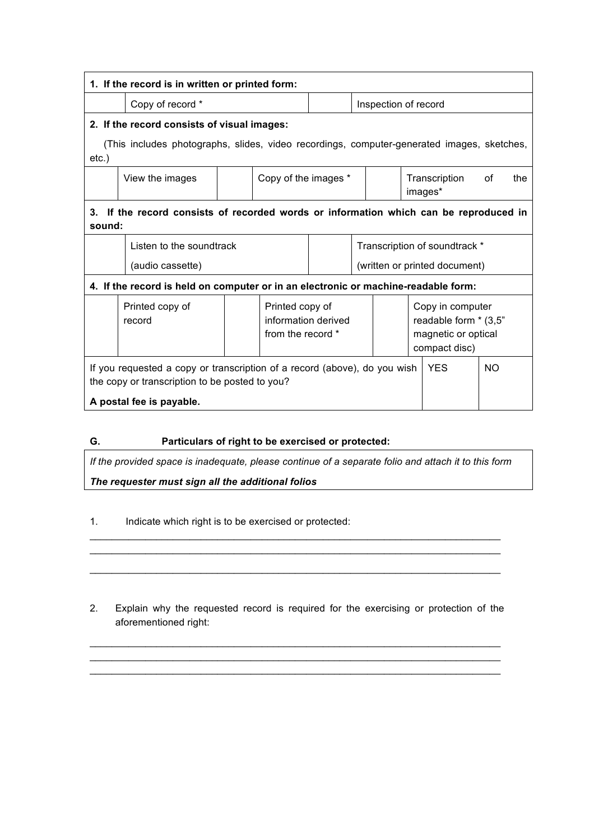| 1. If the record is in written or printed form:                                                                             |                           |  |                                                             |                               |                               |                                                                                   |     |  |
|-----------------------------------------------------------------------------------------------------------------------------|---------------------------|--|-------------------------------------------------------------|-------------------------------|-------------------------------|-----------------------------------------------------------------------------------|-----|--|
|                                                                                                                             | Copy of record *          |  |                                                             |                               | Inspection of record          |                                                                                   |     |  |
| 2. If the record consists of visual images:                                                                                 |                           |  |                                                             |                               |                               |                                                                                   |     |  |
| (This includes photographs, slides, video recordings, computer-generated images, sketches,<br>$etc.$ )                      |                           |  |                                                             |                               |                               |                                                                                   |     |  |
|                                                                                                                             | View the images           |  | Copy of the images *                                        |                               | Transcription<br>images*      | of                                                                                | the |  |
| If the record consists of recorded words or information which can be reproduced in<br>3.<br>sound:                          |                           |  |                                                             |                               |                               |                                                                                   |     |  |
|                                                                                                                             | Listen to the soundtrack  |  |                                                             |                               | Transcription of soundtrack * |                                                                                   |     |  |
|                                                                                                                             | (audio cassette)          |  |                                                             | (written or printed document) |                               |                                                                                   |     |  |
| 4. If the record is held on computer or in an electronic or machine-readable form:                                          |                           |  |                                                             |                               |                               |                                                                                   |     |  |
|                                                                                                                             | Printed copy of<br>record |  | Printed copy of<br>information derived<br>from the record * |                               |                               | Copy in computer<br>readable form * (3,5"<br>magnetic or optical<br>compact disc) |     |  |
| If you requested a copy or transcription of a record (above), do you wish<br>the copy or transcription to be posted to you? |                           |  |                                                             |                               | <b>YES</b>                    | <b>NO</b>                                                                         |     |  |
| A postal fee is payable.                                                                                                    |                           |  |                                                             |                               |                               |                                                                                   |     |  |

**G. Particulars of right to be exercised or protected:**

*If the provided space is inadequate, please continue of a separate folio and attach it to this form The requester must sign all the additional folios*

\_\_\_\_\_\_\_\_\_\_\_\_\_\_\_\_\_\_\_\_\_\_\_\_\_\_\_\_\_\_\_\_\_\_\_\_\_\_\_\_\_\_\_\_\_\_\_\_\_\_\_\_\_\_\_\_\_\_\_\_\_\_\_\_\_\_\_\_\_\_\_\_\_\_

1. Indicate which right is to be exercised or protected:

2. Explain why the requested record is required for the exercising or protection of the aforementioned right:

 $\mathcal{L}_\mathcal{L} = \{ \mathcal{L}_\mathcal{L} = \{ \mathcal{L}_\mathcal{L} = \{ \mathcal{L}_\mathcal{L} = \{ \mathcal{L}_\mathcal{L} = \{ \mathcal{L}_\mathcal{L} = \{ \mathcal{L}_\mathcal{L} = \{ \mathcal{L}_\mathcal{L} = \{ \mathcal{L}_\mathcal{L} = \{ \mathcal{L}_\mathcal{L} = \{ \mathcal{L}_\mathcal{L} = \{ \mathcal{L}_\mathcal{L} = \{ \mathcal{L}_\mathcal{L} = \{ \mathcal{L}_\mathcal{L} = \{ \mathcal{L}_\mathcal{$  $\mathcal{L}_\mathcal{L} = \{ \mathcal{L}_\mathcal{L} = \{ \mathcal{L}_\mathcal{L} = \{ \mathcal{L}_\mathcal{L} = \{ \mathcal{L}_\mathcal{L} = \{ \mathcal{L}_\mathcal{L} = \{ \mathcal{L}_\mathcal{L} = \{ \mathcal{L}_\mathcal{L} = \{ \mathcal{L}_\mathcal{L} = \{ \mathcal{L}_\mathcal{L} = \{ \mathcal{L}_\mathcal{L} = \{ \mathcal{L}_\mathcal{L} = \{ \mathcal{L}_\mathcal{L} = \{ \mathcal{L}_\mathcal{L} = \{ \mathcal{L}_\mathcal{$  $\mathcal{L}_\text{max}$  , and the set of the set of the set of the set of the set of the set of the set of the set of the set of

 $\mathcal{L}_\text{max}$  , and the set of the set of the set of the set of the set of the set of the set of the set of the set of  $\mathcal{L}_\mathcal{L} = \{ \mathcal{L}_\mathcal{L} = \{ \mathcal{L}_\mathcal{L} = \{ \mathcal{L}_\mathcal{L} = \{ \mathcal{L}_\mathcal{L} = \{ \mathcal{L}_\mathcal{L} = \{ \mathcal{L}_\mathcal{L} = \{ \mathcal{L}_\mathcal{L} = \{ \mathcal{L}_\mathcal{L} = \{ \mathcal{L}_\mathcal{L} = \{ \mathcal{L}_\mathcal{L} = \{ \mathcal{L}_\mathcal{L} = \{ \mathcal{L}_\mathcal{L} = \{ \mathcal{L}_\mathcal{L} = \{ \mathcal{L}_\mathcal{$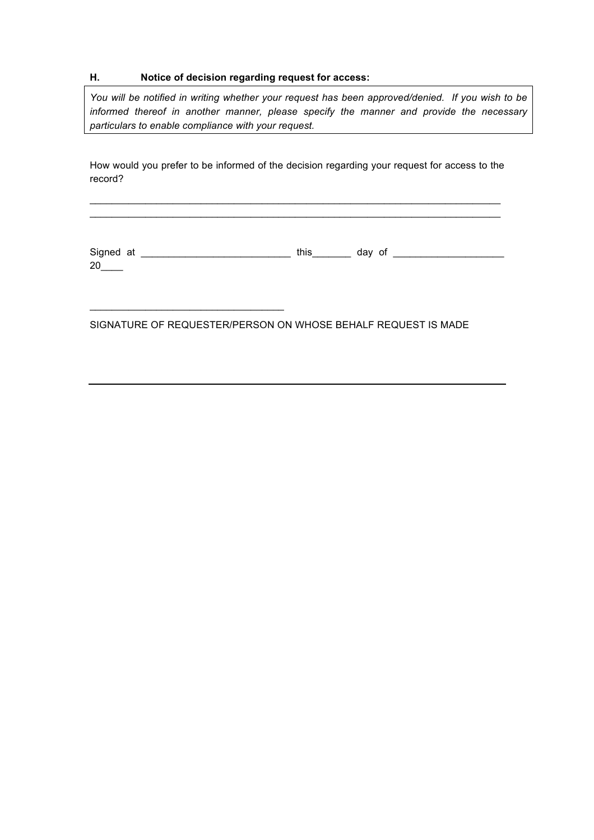## **H. Notice of decision regarding request for access:**

 $\mathcal{L}_\text{max}$  and  $\mathcal{L}_\text{max}$  and  $\mathcal{L}_\text{max}$  and  $\mathcal{L}_\text{max}$ 

*You will be notified in writing whether your request has been approved/denied. If you wish to be informed thereof in another manner, please specify the manner and provide the necessary particulars to enable compliance with your request.*

How would you prefer to be informed of the decision regarding your request for access to the record?

 $\mathcal{L}_\text{max}$  , and the set of the set of the set of the set of the set of the set of the set of the set of the set of  $\mathcal{L}_\mathcal{L} = \{ \mathcal{L}_\mathcal{L} = \{ \mathcal{L}_\mathcal{L} = \{ \mathcal{L}_\mathcal{L} = \{ \mathcal{L}_\mathcal{L} = \{ \mathcal{L}_\mathcal{L} = \{ \mathcal{L}_\mathcal{L} = \{ \mathcal{L}_\mathcal{L} = \{ \mathcal{L}_\mathcal{L} = \{ \mathcal{L}_\mathcal{L} = \{ \mathcal{L}_\mathcal{L} = \{ \mathcal{L}_\mathcal{L} = \{ \mathcal{L}_\mathcal{L} = \{ \mathcal{L}_\mathcal{L} = \{ \mathcal{L}_\mathcal{$ 

Signed at \_\_\_\_\_\_\_\_\_\_\_\_\_\_\_\_\_\_\_\_\_\_\_\_\_\_\_ this\_\_\_\_\_\_\_ day of \_\_\_\_\_\_\_\_\_\_\_\_\_\_\_\_\_\_\_\_  $20$ 

SIGNATURE OF REQUESTER/PERSON ON WHOSE BEHALF REQUEST IS MADE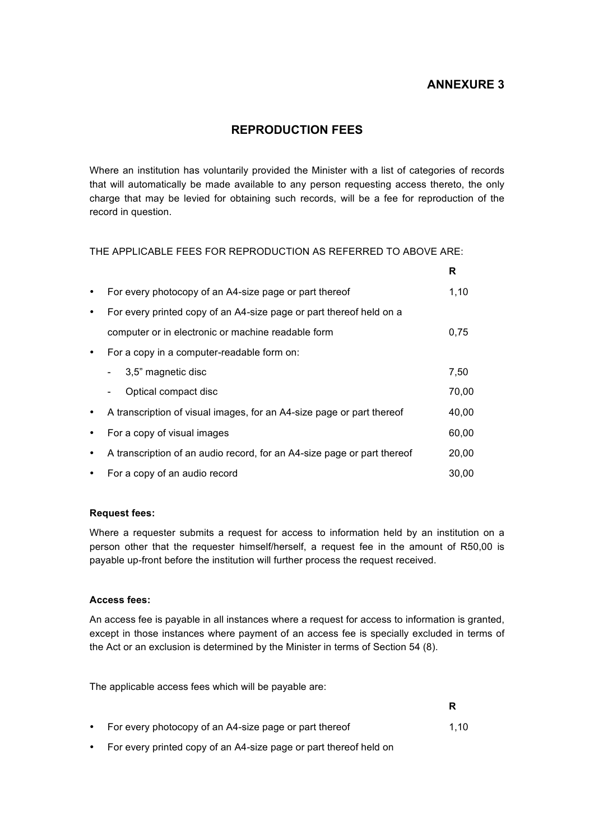# **ANNEXURE 3**

**R**

# **REPRODUCTION FEES**

Where an institution has voluntarily provided the Minister with a list of categories of records that will automatically be made available to any person requesting access thereto, the only charge that may be levied for obtaining such records, will be a fee for reproduction of the record in question.

THE APPLICABLE FEES FOR REPRODUCTION AS REFERRED TO ABOVE ARE:

|           |                                                                         | R     |
|-----------|-------------------------------------------------------------------------|-------|
| $\bullet$ | For every photocopy of an A4-size page or part thereof                  | 1,10  |
| $\bullet$ | For every printed copy of an A4-size page or part thereof held on a     |       |
|           | computer or in electronic or machine readable form                      | 0.75  |
| $\bullet$ | For a copy in a computer-readable form on:                              |       |
|           | 3,5" magnetic disc                                                      | 7,50  |
|           | Optical compact disc                                                    | 70,00 |
| $\bullet$ | A transcription of visual images, for an A4-size page or part thereof   | 40,00 |
| $\bullet$ | For a copy of visual images                                             | 60,00 |
| $\bullet$ | A transcription of an audio record, for an A4-size page or part thereof | 20,00 |
| $\bullet$ | For a copy of an audio record                                           | 30,00 |

### **Request fees:**

Where a requester submits a request for access to information held by an institution on a person other that the requester himself/herself, a request fee in the amount of R50,00 is payable up-front before the institution will further process the request received.

## **Access fees:**

An access fee is payable in all instances where a request for access to information is granted, except in those instances where payment of an access fee is specially excluded in terms of the Act or an exclusion is determined by the Minister in terms of Section 54 (8).

The applicable access fees which will be payable are:

• For every photocopy of an A4-size page or part thereof 1,10

• For every printed copy of an A4-size page or part thereof held on